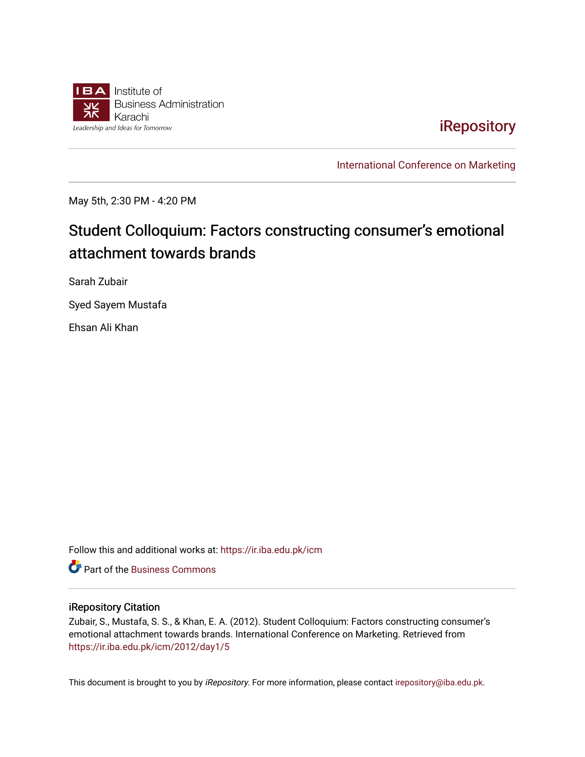

## [iRepository](https://ir.iba.edu.pk/)

[International Conference on Marketing](https://ir.iba.edu.pk/icm) 

May 5th, 2:30 PM - 4:20 PM

# Student Colloquium: Factors constructing consumer's emotional attachment towards brands

Sarah Zubair

Syed Sayem Mustafa

Ehsan Ali Khan

Follow this and additional works at: [https://ir.iba.edu.pk/icm](https://ir.iba.edu.pk/icm?utm_source=ir.iba.edu.pk%2Ficm%2F2012%2Fday1%2F5&utm_medium=PDF&utm_campaign=PDFCoverPages) 

**P** Part of the [Business Commons](http://network.bepress.com/hgg/discipline/622?utm_source=ir.iba.edu.pk%2Ficm%2F2012%2Fday1%2F5&utm_medium=PDF&utm_campaign=PDFCoverPages)

#### iRepository Citation

Zubair, S., Mustafa, S. S., & Khan, E. A. (2012). Student Colloquium: Factors constructing consumer's emotional attachment towards brands. International Conference on Marketing. Retrieved from [https://ir.iba.edu.pk/icm/2012/day1/5](https://ir.iba.edu.pk/icm/2012/day1/5?utm_source=ir.iba.edu.pk%2Ficm%2F2012%2Fday1%2F5&utm_medium=PDF&utm_campaign=PDFCoverPages)

This document is brought to you by iRepository. For more information, please contact [irepository@iba.edu.pk](mailto:irepository@iba.edu.pk).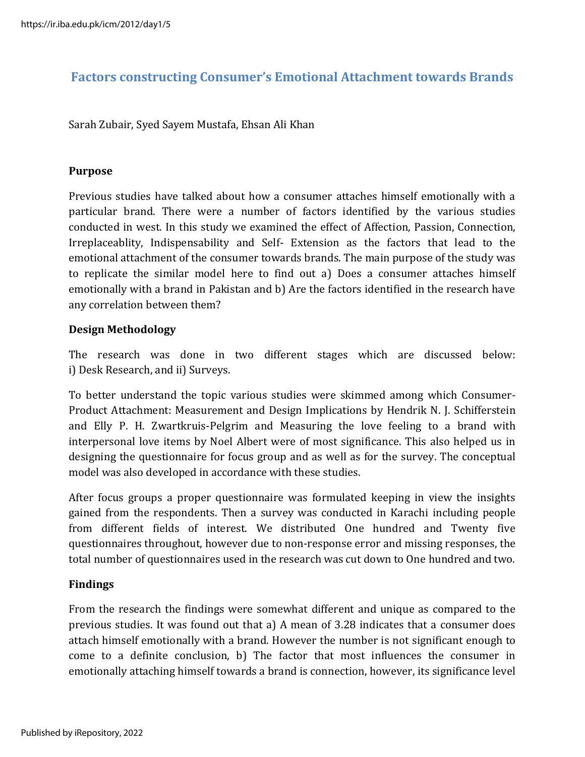### **Factors constructing Consumer's Emotional Attachment towards Brands**

Sarah Zubair, Syed Sayem Mustafa, Ehsan Ali Khan

#### **Purpose**

Previous studies have talked about how a consumer attaches himself emotionally with a particular brand. There were a number of factors identified by the various studies conducted in west. In this study we examined the effect of Affection, Passion, Connection, Irreplaceablity, Indispensability and Self- Extension as the factors that lead to the emotional attachment of the consumer towards brands. The main purpose of the study was to replicate the similar model here to find out a) Does a consumer attaches himself emotionally with a brand in Pakistan and b) Are the factors identified in the research have any correlation between them?

#### **Design Methodology**

The research was done in two different stages which are discussed below: i) Desk Research, and ii) Surveys.

To better understand the topic various studies were skimmed among which Consumer-Product Attachment: Measurement and Design Implications by Hendrik N. J. Schifferstein and Elly P. H. Zwartkruis-Pelgrim and Measuring the love feeling to a brand with interpersonal love items by Noel Albert were of most significance. This also helped us in designing the questionnaire for focus group and as well as for the survey. The conceptual model was also developed in accordance with these studies.

After focus groups a proper questionnaire was formulated keeping in view the insights gained from the respondents. Then a survey was conducted in Karachi including people from different fields of interest. We distributed One hundred and Twenty five questionnaires throughout, however due to non-response error and missing responses, the total number of questionnaires used in the research was cut down to One hundred and two.

#### **Findings**

From the research the findings were somewhat different and unique as compared to the previous studies. It was found out that a) A mean of 3.28 indicates that a consumer does attach himself emotionally with a brand. However the number is not significant enough to come to a definite conclusion, b) The factor that most influences the consumer in emotionally attaching himself towards a brand is connection, however, its significance level